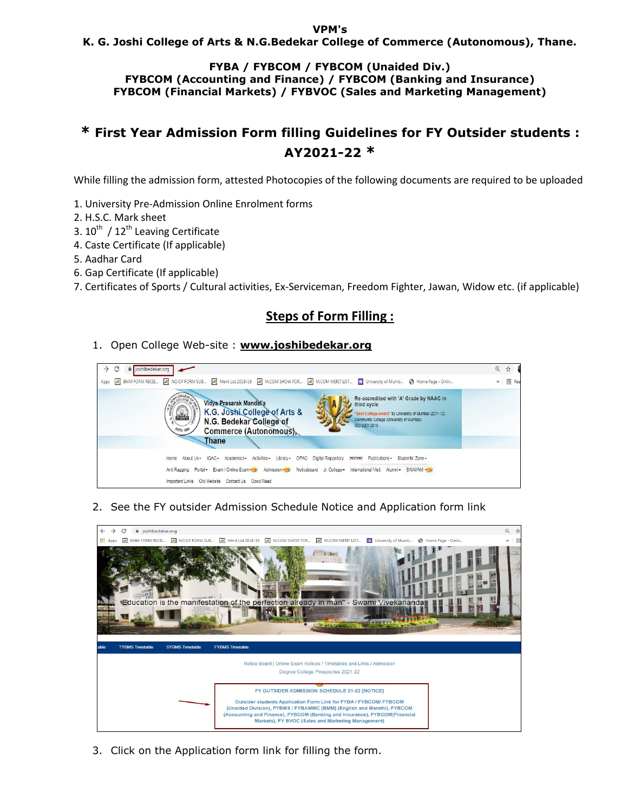#### **VPM's**

### **K. G. Joshi College of Arts & N.G.Bedekar College of Commerce (Autonomous), Thane.**

#### **FYBA / FYBCOM / FYBCOM (Unaided Div.) FYBCOM (Accounting and Finance) / FYBCOM (Banking and Insurance) FYBCOM (Financial Markets) / FYBVOC (Sales and Marketing Management)**

# **\* First Year Admission Form filling Guidelines for FY Outsider students : AY2021-22 \***

While filling the admission form, attested Photocopies of the following documents are required to be uploaded

- 1. University Pre-Admission Online Enrolment forms
- 2. H.S.C. Mark sheet
- 3.  $10^{th}$  /  $12^{th}$  Leaving Certificate
- 4. Caste Certificate (If applicable)
- 5. Aadhar Card
- 6. Gap Certificate (If applicable)
- 7. Certificates of Sports / Cultural activities, Ex-Serviceman, Freedom Fighter, Jawan, Widow etc. (if applicable)

## **Steps of Form Filling :**

1. Open College Web-site : **www.joshibedekar.org**



2. See the FY outsider Admission Schedule Notice and Application form link



3. Click on the Application form link for filling the form.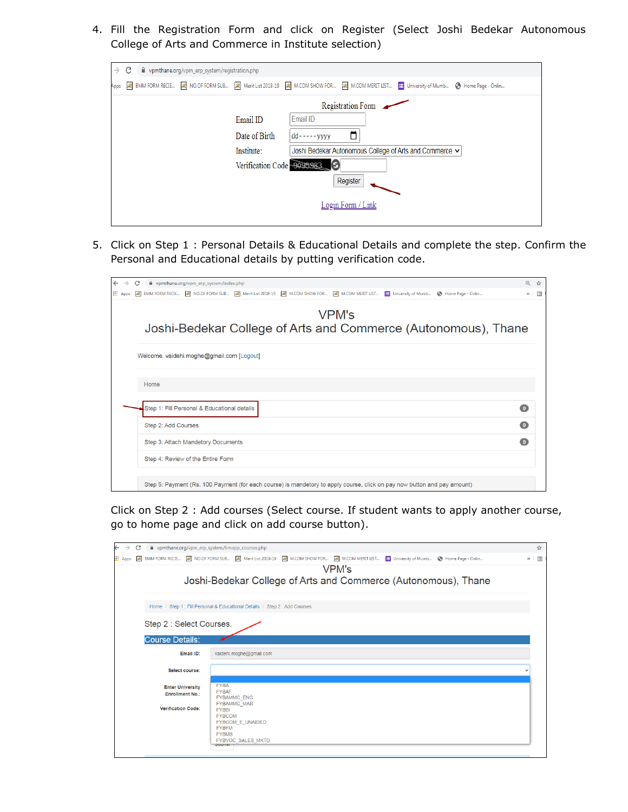4. Fill the Registration Form and click on Register (Select Joshi Bedekar Autonomous College of Arts and Commerce in Institute selection)

| $\rightarrow$ | C                           |  | pmthane.org/vpm_erp_system/registration.php |               |                   |   |                                                                                                                                     |  |
|---------------|-----------------------------|--|---------------------------------------------|---------------|-------------------|---|-------------------------------------------------------------------------------------------------------------------------------------|--|
| Apps          |                             |  |                                             |               |                   |   | 2 BMM FORM RECIE 2 NO.OF FORM SUB 2 Merit List 2018-19 2 MCOM SHOW FOR 2 MCOM MERIT LIST 1   University of Mumb ● Home Page - Onlin |  |
|               | Registration Form           |  |                                             |               |                   |   |                                                                                                                                     |  |
|               |                             |  |                                             | Email ID      | Email ID          |   |                                                                                                                                     |  |
|               |                             |  |                                             | Date of Birth | dd - - - - - yyyy | ∃ |                                                                                                                                     |  |
|               |                             |  |                                             | Institute:    |                   |   | Joshi Bedekar Autonomous College of Arts and Commerce v                                                                             |  |
|               | Verification Code - 0095983 |  |                                             |               |                   |   |                                                                                                                                     |  |
|               | Register                    |  |                                             |               |                   |   |                                                                                                                                     |  |
|               |                             |  |                                             |               |                   |   |                                                                                                                                     |  |
|               | Login Form / Link           |  |                                             |               |                   |   |                                                                                                                                     |  |
|               |                             |  |                                             |               |                   |   |                                                                                                                                     |  |

5. Click on Step 1 : Personal Details & Educational Details and complete the step. Confirm the Personal and Educational details by putting verification code.

| $\leftarrow$    | p vpmthane.org/vpm_erp_system/index.php<br>C                                                                                            | @ ☆                     |
|-----------------|-----------------------------------------------------------------------------------------------------------------------------------------|-------------------------|
| <b>III</b> Apps | 网 BMM FORM RECIE NO NO.OF FORM SUB NO Merit List 2018-19 NO M.COM SHOW FOR NO M.COM MERIT LIST E University of Mumb ● Home Page - Onlin | $\triangleright$ $\Box$ |
|                 | <b>VPM's</b><br>Joshi-Bedekar College of Arts and Commerce (Autonomous), Thane                                                          |                         |
|                 | Welcome, vaidehi.moghe@gmail.com [Logout]                                                                                               |                         |
|                 | Home                                                                                                                                    |                         |
|                 | Step 1: Fill Personal & Educational details                                                                                             | $\bullet$               |
|                 | Step 2: Add Courses                                                                                                                     | $\overline{0}$          |
|                 | Step 3: Attach Mandetory Documents                                                                                                      | $\bullet$               |
|                 | Step 4: Review of the Entire Form                                                                                                       |                         |
|                 | Step 5: Payment (Rs. 100 Payment (for each course) is mandetory to apply course, click on pay now button and pay amount)                |                         |

Click on Step 2 : Add courses (Select course. If student wants to apply another course, go to home page and click on add course button).

|            | C |                           |                        | p vpmthane.org/vpm_erp_system/frmapp_courses.php                                                                                                       | ☆                       |  |  |  |
|------------|---|---------------------------|------------------------|--------------------------------------------------------------------------------------------------------------------------------------------------------|-------------------------|--|--|--|
| Apps<br>99 |   |                           |                        | 网 BMM FORM RECIE 网 NO.OF FORM SUB 网 Merit List 2018-19 网 M.COM SHOW FOR 网 M.COM MERIT LIST E University of Mumb O Home Page - Onlin                    | $\triangleright$ $\Box$ |  |  |  |
|            |   |                           |                        | <b>VPM's</b>                                                                                                                                           |                         |  |  |  |
|            |   |                           |                        | Joshi-Bedekar College of Arts and Commerce (Autonomous), Thane                                                                                         |                         |  |  |  |
|            |   |                           |                        | Home / Step 1 : Fill Personal & Educational Details / Step 2 : Add Courses                                                                             |                         |  |  |  |
|            |   | Step 2 : Select Courses.  |                        |                                                                                                                                                        |                         |  |  |  |
|            |   | <b>Course Details:</b>    |                        |                                                                                                                                                        |                         |  |  |  |
|            |   |                           | Email ID:              | vaidehi.moghe@gmail.com                                                                                                                                |                         |  |  |  |
|            |   |                           | Select course:         |                                                                                                                                                        |                         |  |  |  |
|            |   | <b>Enter University</b>   | <b>Enrollment No.:</b> | <b>FYBA</b><br><b>FYBAF</b><br><b>FYBAMMC ENG</b>                                                                                                      |                         |  |  |  |
|            |   | <b>Verification Code:</b> |                        | <b>FYBAMMC MAR</b><br><b>FYBBI</b><br><b>FYBCOM</b><br><b>FYBCOM E UNAIDED</b><br><b>FYBFM</b><br><b>FYBMS</b><br><b>FYBVOC SALES MKTG</b><br>OUUTTIIT |                         |  |  |  |